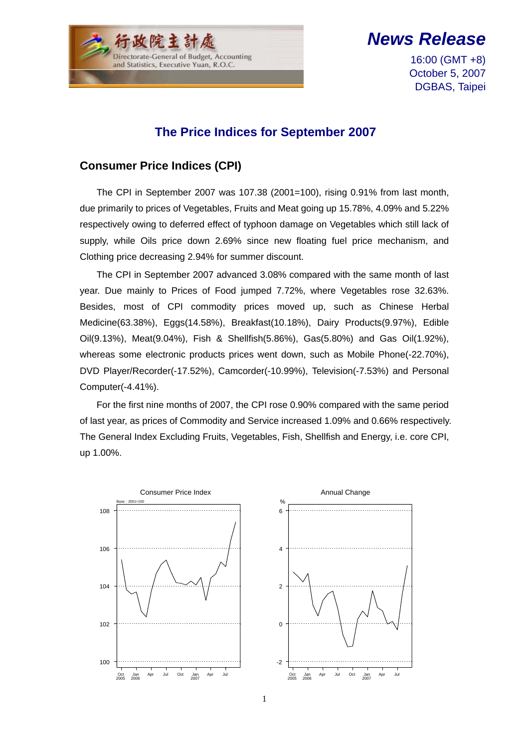

*News Release*

16:00 (GMT +8) October 5, 2007 DGBAS, Taipei

## **The Price Indices for September 2007**

## **Consumer Price Indices (CPI)**

The CPI in September 2007 was 107.38 (2001=100), rising 0.91% from last month, due primarily to prices of Vegetables, Fruits and Meat going up 15.78%, 4.09% and 5.22% respectively owing to deferred effect of typhoon damage on Vegetables which still lack of supply, while Oils price down 2.69% since new floating fuel price mechanism, and Clothing price decreasing 2.94% for summer discount.

The CPI in September 2007 advanced 3.08% compared with the same month of last year. Due mainly to Prices of Food jumped 7.72%, where Vegetables rose 32.63%. Besides, most of CPI commodity prices moved up, such as Chinese Herbal Medicine(63.38%), Eggs(14.58%), Breakfast(10.18%), Dairy Products(9.97%), Edible Oil(9.13%), Meat(9.04%), Fish & Shellfish(5.86%), Gas(5.80%) and Gas Oil(1.92%), whereas some electronic products prices went down, such as Mobile Phone(-22.70%), DVD Player/Recorder(-17.52%), Camcorder(-10.99%), Television(-7.53%) and Personal Computer(-4.41%).

For the first nine months of 2007, the CPI rose 0.90% compared with the same period of last year, as prices of Commodity and Service increased 1.09% and 0.66% respectively. The General Index Excluding Fruits, Vegetables, Fish, Shellfish and Energy, i.e. core CPI, up 1.00%.

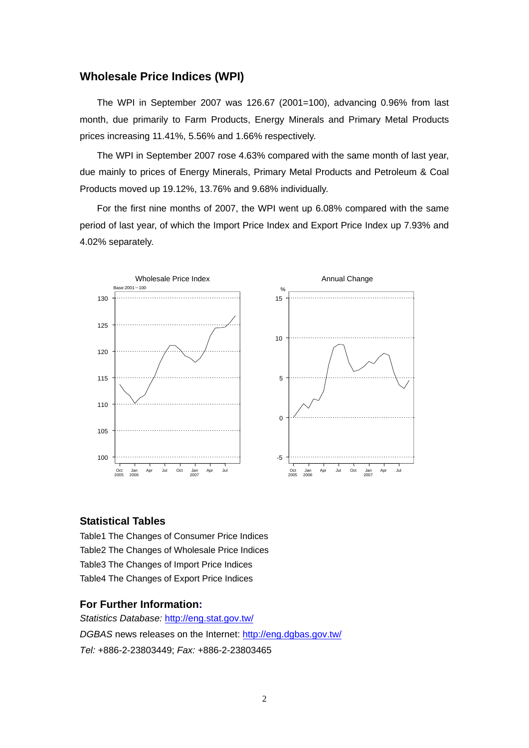#### **Wholesale Price Indices (WPI)**

The WPI in September 2007 was 126.67 (2001=100), advancing 0.96% from last month, due primarily to Farm Products, Energy Minerals and Primary Metal Products prices increasing 11.41%, 5.56% and 1.66% respectively.

The WPI in September 2007 rose 4.63% compared with the same month of last year, due mainly to prices of Energy Minerals, Primary Metal Products and Petroleum & Coal Products moved up 19.12%, 13.76% and 9.68% individually.

For the first nine months of 2007, the WPI went up 6.08% compared with the same period of last year, of which the Import Price Index and Export Price Index up 7.93% and 4.02% separately.



#### **Statistical Tables**

Table1 The Changes of Consumer Price Indices Table2 The Changes of Wholesale Price Indices Table3 The Changes of Import Price Indices Table4 The Changes of Export Price Indices

#### **For Further Information:**

*Statistics Database:* http://eng.stat.gov.tw/ *DGBAS* news releases on the Internet: http://eng.dgbas.gov.tw/ *Tel:* +886-2-23803449; *Fax:* +886-2-23803465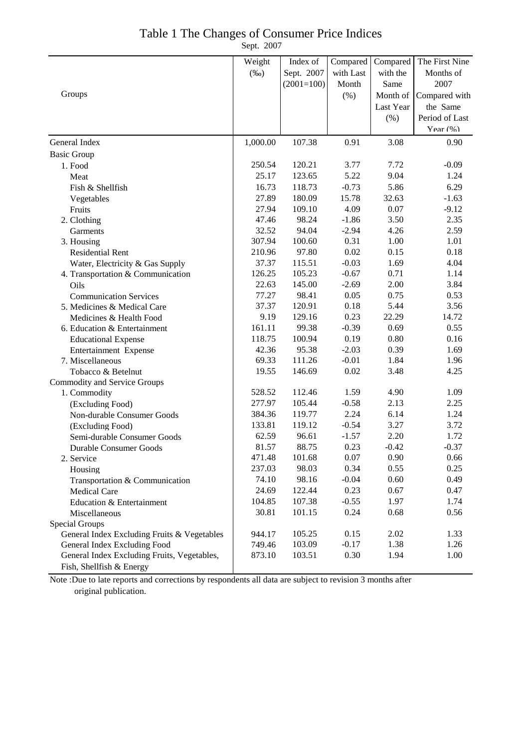## Table 1 The Changes of Consumer Price Indices

Sept. 2007

|                                             | Weight   | Index of     | Compared  | Compared  | The First Nine |
|---------------------------------------------|----------|--------------|-----------|-----------|----------------|
|                                             | $(\%0)$  | Sept. 2007   | with Last | with the  | Months of      |
|                                             |          | $(2001=100)$ | Month     | Same      | 2007           |
| Groups                                      |          |              | (%)       | Month of  | Compared with  |
|                                             |          |              |           | Last Year | the Same       |
|                                             |          |              |           | (%)       | Period of Last |
|                                             |          |              |           |           | Year (%)       |
| General Index                               | 1,000.00 | 107.38       | 0.91      | 3.08      | 0.90           |
| <b>Basic Group</b>                          |          |              |           |           |                |
| 1. Food                                     | 250.54   | 120.21       | 3.77      | 7.72      | $-0.09$        |
| Meat                                        | 25.17    | 123.65       | 5.22      | 9.04      | 1.24           |
| Fish & Shellfish                            | 16.73    | 118.73       | $-0.73$   | 5.86      | 6.29           |
| Vegetables                                  | 27.89    | 180.09       | 15.78     | 32.63     | $-1.63$        |
| Fruits                                      | 27.94    | 109.10       | 4.09      | 0.07      | $-9.12$        |
| 2. Clothing                                 | 47.46    | 98.24        | $-1.86$   | 3.50      | 2.35           |
| Garments                                    | 32.52    | 94.04        | $-2.94$   | 4.26      | 2.59           |
| 3. Housing                                  | 307.94   | 100.60       | 0.31      | 1.00      | 1.01           |
| <b>Residential Rent</b>                     | 210.96   | 97.80        | 0.02      | 0.15      | 0.18           |
| Water, Electricity & Gas Supply             | 37.37    | 115.51       | $-0.03$   | 1.69      | 4.04           |
| 4. Transportation & Communication           | 126.25   | 105.23       | $-0.67$   | 0.71      | 1.14           |
| Oils                                        | 22.63    | 145.00       | $-2.69$   | 2.00      | 3.84           |
| <b>Communication Services</b>               | 77.27    | 98.41        | 0.05      | 0.75      | 0.53           |
| 5. Medicines & Medical Care                 | 37.37    | 120.91       | 0.18      | 5.44      | 3.56           |
| Medicines & Health Food                     | 9.19     | 129.16       | 0.23      | 22.29     | 14.72          |
| 6. Education & Entertainment                | 161.11   | 99.38        | $-0.39$   | 0.69      | 0.55           |
| <b>Educational Expense</b>                  | 118.75   | 100.94       | 0.19      | 0.80      | 0.16           |
| Entertainment Expense                       | 42.36    | 95.38        | $-2.03$   | 0.39      | 1.69           |
| 7. Miscellaneous                            | 69.33    | 111.26       | $-0.01$   | 1.84      | 1.96           |
| Tobacco & Betelnut                          | 19.55    | 146.69       | 0.02      | 3.48      | 4.25           |
| <b>Commodity and Service Groups</b>         |          |              |           |           |                |
| 1. Commodity                                | 528.52   | 112.46       | 1.59      | 4.90      | 1.09           |
| (Excluding Food)                            | 277.97   | 105.44       | $-0.58$   | 2.13      | 2.25           |
| Non-durable Consumer Goods                  | 384.36   | 119.77       | 2.24      | 6.14      | 1.24           |
| (Excluding Food)                            | 133.81   | 119.12       | $-0.54$   | 3.27      | 3.72           |
| Semi-durable Consumer Goods                 | 62.59    | 96.61        | $-1.57$   | 2.20      | 1.72           |
| <b>Durable Consumer Goods</b>               | 81.57    | 88.75        | 0.23      | $-0.42$   | $-0.37$        |
| 2. Service                                  | 471.48   | 101.68       | 0.07      | 0.90      | 0.66           |
| Housing                                     | 237.03   | 98.03        | 0.34      | 0.55      | 0.25           |
| Transportation & Communication              | 74.10    | 98.16        | $-0.04$   | 0.60      | 0.49           |
| <b>Medical Care</b>                         | 24.69    | 122.44       | 0.23      | 0.67      | 0.47           |
| Education & Entertainment                   | 104.85   | 107.38       | $-0.55$   | 1.97      | 1.74           |
| Miscellaneous                               | 30.81    | 101.15       | 0.24      | 0.68      | 0.56           |
| Special Groups                              |          |              |           |           |                |
| General Index Excluding Fruits & Vegetables | 944.17   | 105.25       | 0.15      | 2.02      | 1.33           |
| General Index Excluding Food                | 749.46   | 103.09       | $-0.17$   | 1.38      | 1.26           |
| General Index Excluding Fruits, Vegetables, | 873.10   | 103.51       | 0.30      | 1.94      | 1.00           |
| Fish, Shellfish & Energy                    |          |              |           |           |                |

Note :Due to late reports and corrections by respondents all data are subject to revision 3 months after original publication.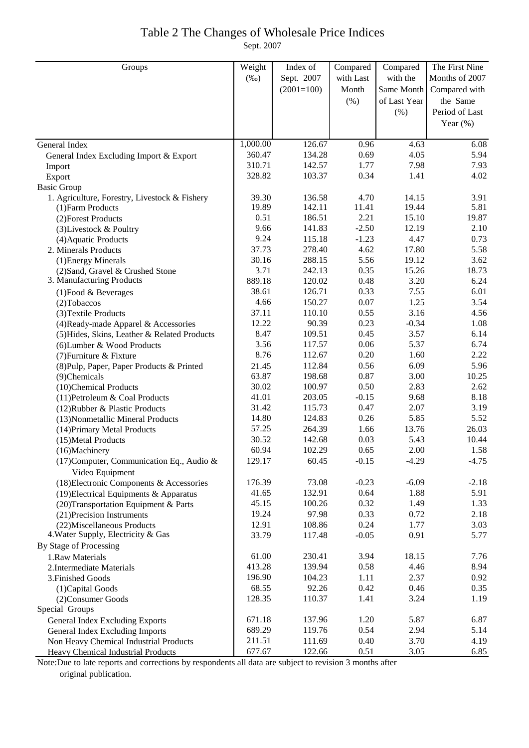### Table 2 The Changes of Wholesale Price Indices Sept. 2007

| Groups                                                       | Weight   | Index of     | Compared  | Compared     | The First Nine |
|--------------------------------------------------------------|----------|--------------|-----------|--------------|----------------|
|                                                              | $(\%0)$  | Sept. 2007   | with Last | with the     | Months of 2007 |
|                                                              |          | $(2001=100)$ | Month     | Same Month   | Compared with  |
|                                                              |          |              | (% )      | of Last Year | the Same       |
|                                                              |          |              |           | $(\% )$      | Period of Last |
|                                                              |          |              |           |              |                |
|                                                              |          |              |           |              | Year $(\%)$    |
| General Index                                                | 1,000.00 | 126.67       | 0.96      | 4.63         | 6.08           |
| General Index Excluding Import & Export                      | 360.47   | 134.28       | 0.69      | 4.05         | 5.94           |
| Import                                                       | 310.71   | 142.57       | 1.77      | 7.98         | 7.93           |
| Export                                                       | 328.82   | 103.37       | 0.34      | 1.41         | 4.02           |
| <b>Basic Group</b>                                           |          |              |           |              |                |
| 1. Agriculture, Forestry, Livestock & Fishery                | 39.30    | 136.58       | 4.70      | 14.15        | 3.91           |
| (1) Farm Products                                            | 19.89    | 142.11       | 11.41     | 19.44        | 5.81           |
| (2) Forest Products                                          | 0.51     | 186.51       | 2.21      | 15.10        | 19.87          |
| (3) Livestock & Poultry                                      | 9.66     | 141.83       | $-2.50$   | 12.19        | 2.10           |
| (4) Aquatic Products                                         | 9.24     | 115.18       | $-1.23$   | 4.47         | 0.73           |
| 2. Minerals Products                                         | 37.73    | 278.40       | 4.62      | 17.80        | 5.58           |
| (1) Energy Minerals                                          | 30.16    | 288.15       | 5.56      | 19.12        | 3.62           |
| (2) Sand, Gravel & Crushed Stone                             | 3.71     | 242.13       | 0.35      | 15.26        | 18.73          |
| 3. Manufacturing Products                                    | 889.18   | 120.02       | 0.48      | 3.20         | 6.24           |
| (1) Food & Beverages                                         | 38.61    | 126.71       | 0.33      | 7.55         | 6.01           |
| $(2)$ Tobaccos                                               | 4.66     | 150.27       | 0.07      | 1.25         | 3.54           |
| (3) Textile Products                                         | 37.11    | 110.10       | 0.55      | 3.16         | 4.56           |
| (4) Ready-made Apparel & Accessories                         | 12.22    | 90.39        | 0.23      | $-0.34$      | 1.08           |
| (5) Hides, Skins, Leather & Related Products                 | 8.47     | 109.51       | 0.45      | 3.57         | 6.14           |
| (6) Lumber & Wood Products                                   | 3.56     | 117.57       | 0.06      | 5.37         | 6.74           |
| (7) Furniture & Fixture                                      | 8.76     | 112.67       | 0.20      | 1.60         | 2.22           |
| (8) Pulp, Paper, Paper Products & Printed                    | 21.45    | 112.84       | 0.56      | 6.09         | 5.96           |
| (9)Chemicals                                                 | 63.87    | 198.68       | 0.87      | 3.00         | 10.25          |
| (10)Chemical Products                                        | 30.02    | 100.97       | 0.50      | 2.83         | 2.62           |
| (11) Petroleum & Coal Products                               | 41.01    | 203.05       | $-0.15$   | 9.68         | 8.18           |
| (12) Rubber & Plastic Products                               | 31.42    | 115.73       | 0.47      | 2.07         | 3.19           |
| (13) Nonmetallic Mineral Products                            | 14.80    | 124.83       | 0.26      | 5.85         | 5.52           |
| (14) Primary Metal Products                                  | 57.25    | 264.39       | 1.66      | 13.76        | 26.03          |
| (15) Metal Products                                          | 30.52    | 142.68       | 0.03      | 5.43         | 10.44          |
| (16)Machinery                                                | 60.94    | 102.29       | 0.65      | 2.00         | 1.58           |
| (17) Computer, Communication Eq., Audio &<br>Video Equipment | 129.17   | 60.45        | $-0.15$   | $-4.29$      | $-4.75$        |
| (18) Electronic Components & Accessories                     | 176.39   | 73.08        | $-0.23$   | $-6.09$      | $-2.18$        |
| (19) Electrical Equipments & Apparatus                       | 41.65    | 132.91       | 0.64      | 1.88         | 5.91           |
| (20) Transportation Equipment & Parts                        | 45.15    | 100.26       | 0.32      | 1.49         | 1.33           |
| (21) Precision Instruments                                   | 19.24    | 97.98        | 0.33      | 0.72         | 2.18           |
| (22) Miscellaneous Products                                  | 12.91    | 108.86       | 0.24      | 1.77         | 3.03           |
| 4. Water Supply, Electricity & Gas                           | 33.79    | 117.48       | $-0.05$   | 0.91         | 5.77           |
| By Stage of Processing                                       |          |              |           |              |                |
| 1.Raw Materials                                              | 61.00    | 230.41       | 3.94      | 18.15        | 7.76           |
| 2. Intermediate Materials                                    | 413.28   | 139.94       | 0.58      | 4.46         | 8.94           |
| 3. Finished Goods                                            | 196.90   | 104.23       | 1.11      | 2.37         | 0.92           |
| (1) Capital Goods                                            | 68.55    | 92.26        | 0.42      | 0.46         | 0.35           |
| (2) Consumer Goods                                           | 128.35   | 110.37       | 1.41      | 3.24         | 1.19           |
| Special Groups                                               |          |              |           |              |                |
| General Index Excluding Exports                              | 671.18   | 137.96       | 1.20      | 5.87         | 6.87           |
| General Index Excluding Imports                              | 689.29   | 119.76       | 0.54      | 2.94         | 5.14           |
| Non Heavy Chemical Industrial Products                       | 211.51   | 111.69       | 0.40      | 3.70         | 4.19           |
| Heavy Chemical Industrial Products                           | 677.67   | 122.66       | 0.51      | 3.05         | 6.85           |

Note:Due to late reports and corrections by respondents all data are subject to revision 3 months after original publication.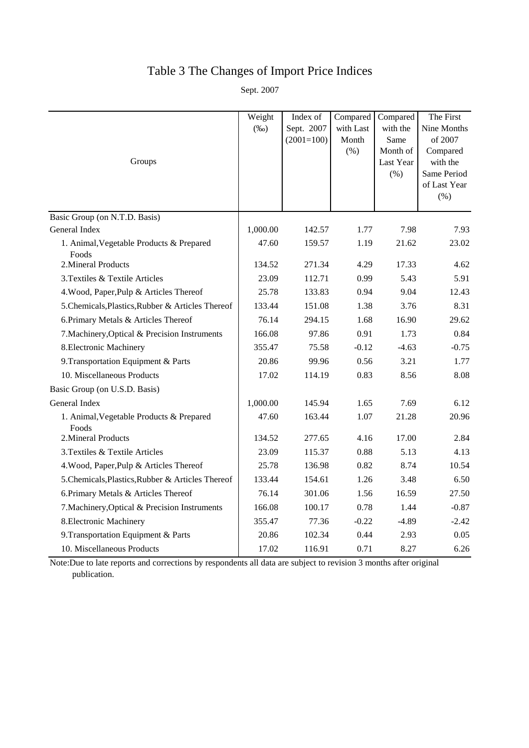# Table 3 The Changes of Import Price Indices

Sept. 2007

|                                                   | Weight   | Index of     | Compared  | Compared  | The First               |
|---------------------------------------------------|----------|--------------|-----------|-----------|-------------------------|
|                                                   | $(\%0)$  | Sept. 2007   | with Last | with the  | Nine Months             |
|                                                   |          | $(2001=100)$ | Month     | Same      | of 2007                 |
|                                                   |          |              | (% )      | Month of  | Compared                |
| Groups                                            |          |              |           | Last Year | with the<br>Same Period |
|                                                   |          |              |           | $(\% )$   | of Last Year            |
|                                                   |          |              |           |           | $(\% )$                 |
| Basic Group (on N.T.D. Basis)                     |          |              |           |           |                         |
| General Index                                     | 1,000.00 | 142.57       | 1.77      | 7.98      | 7.93                    |
| 1. Animal, Vegetable Products & Prepared          | 47.60    | 159.57       | 1.19      | 21.62     | 23.02                   |
| Foods                                             |          |              |           |           |                         |
| 2. Mineral Products                               | 134.52   | 271.34       | 4.29      | 17.33     | 4.62                    |
| 3. Textiles & Textile Articles                    | 23.09    | 112.71       | 0.99      | 5.43      | 5.91                    |
| 4. Wood, Paper, Pulp & Articles Thereof           | 25.78    | 133.83       | 0.94      | 9.04      | 12.43                   |
| 5. Chemicals, Plastics, Rubber & Articles Thereof | 133.44   | 151.08       | 1.38      | 3.76      | 8.31                    |
| 6. Primary Metals & Articles Thereof              | 76.14    | 294.15       | 1.68      | 16.90     | 29.62                   |
| 7. Machinery, Optical & Precision Instruments     | 166.08   | 97.86        | 0.91      | 1.73      | 0.84                    |
| 8. Electronic Machinery                           | 355.47   | 75.58        | $-0.12$   | $-4.63$   | $-0.75$                 |
| 9. Transportation Equipment & Parts               | 20.86    | 99.96        | 0.56      | 3.21      | 1.77                    |
| 10. Miscellaneous Products                        | 17.02    | 114.19       | 0.83      | 8.56      | 8.08                    |
| Basic Group (on U.S.D. Basis)                     |          |              |           |           |                         |
| General Index                                     | 1,000.00 | 145.94       | 1.65      | 7.69      | 6.12                    |
| 1. Animal, Vegetable Products & Prepared<br>Foods | 47.60    | 163.44       | 1.07      | 21.28     | 20.96                   |
| 2. Mineral Products                               | 134.52   | 277.65       | 4.16      | 17.00     | 2.84                    |
| 3. Textiles & Textile Articles                    | 23.09    | 115.37       | 0.88      | 5.13      | 4.13                    |
| 4. Wood, Paper, Pulp & Articles Thereof           | 25.78    | 136.98       | 0.82      | 8.74      | 10.54                   |
| 5. Chemicals, Plastics, Rubber & Articles Thereof | 133.44   | 154.61       | 1.26      | 3.48      | 6.50                    |
| 6. Primary Metals & Articles Thereof              | 76.14    | 301.06       | 1.56      | 16.59     | 27.50                   |
| 7. Machinery, Optical & Precision Instruments     | 166.08   | 100.17       | 0.78      | 1.44      | $-0.87$                 |
| 8. Electronic Machinery                           | 355.47   | 77.36        | $-0.22$   | $-4.89$   | $-2.42$                 |
| 9. Transportation Equipment & Parts               | 20.86    | 102.34       | 0.44      | 2.93      | 0.05                    |
| 10. Miscellaneous Products                        | 17.02    | 116.91       | 0.71      | 8.27      | 6.26                    |

Note:Due to late reports and corrections by respondents all data are subject to revision 3 months after original publication.